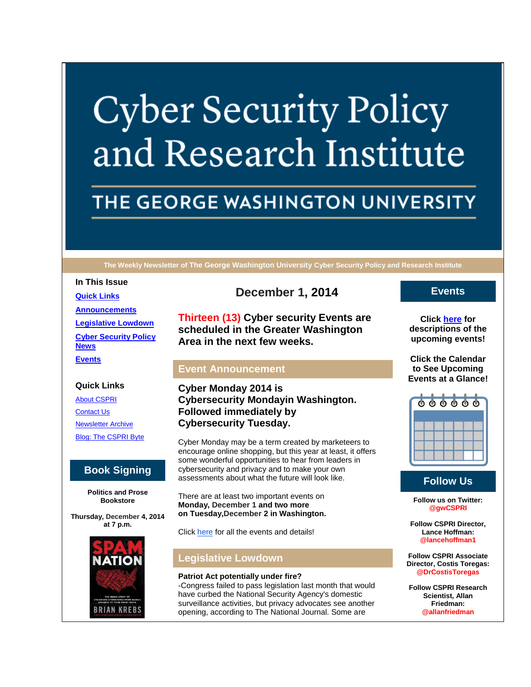# **Cyber Security Policy** and Research Institute

# THE GEORGE WASHINGTON UNIVERSITY

**The Weekly Newsletter of The George Washington University Cyber Security Policy and Research Institute**

#### **In This Issue**

**[Quick Links](https://mail.google.com/mail/u/0/#14a0791c138d0117_LETTER.BLOCK5) [Announcements](https://mail.google.com/mail/u/0/#14a0791c138d0117_LETTER.BLOCK26) [Legislative Lowdown](https://mail.google.com/mail/u/0/#14a0791c138d0117_LETTER.BLOCK53) [Cyber Security Policy](https://mail.google.com/mail/u/0/#14a0791c138d0117_LETTER.BLOCK73)  [News](https://mail.google.com/mail/u/0/#14a0791c138d0117_LETTER.BLOCK73) [Events](https://mail.google.com/mail/u/0/#14a0791c138d0117_LETTER.BLOCK30)**

## **Quick Links**

[About CSPRI](http://r20.rs6.net/tn.jsp?f=001lkXkMIe41HYll7mOJI1UIgT4RialstjcIBFzTLKLMbA1zF3P7Ryds7kPpT2PgwvD0bLEdeDzARw22qvOxXIrAJsJixHfc0IW46Gb_P7CKBXUcXmt09ym-8zwfAyR5ZwGUZKr7ubBN0rYGiIu4WAj3VyafXkeW42meUA2Ny4UY1N63CI2S4z33vqMkS8jrgLn&c=ozru1dyMLELyGycXP8bP2JyD-5CP95Z9zf1H_5duATV0CCaku2io9Q==&ch=aY3R2CveLLbOMHWpNPlE2ElWutpGn2tYWh7LkzMlMOz7Kv5atogmWg==) [Contact Us](http://r20.rs6.net/tn.jsp?f=001lkXkMIe41HYll7mOJI1UIgT4RialstjcIBFzTLKLMbA1zF3P7Ryds7kPpT2PgwvDTYH0C64ncNKOiQ7imQS7vIsysPKmApeIN3eLiPT3wtozLIK8i-QXe5RM6WyhQLonLOxGveLsGHo-46WQ_3h04kpDScpDMaPsWPSfikXZKUP1n_gPtogjz3l_tc0Q78vAw9koa2xgrsM=&c=ozru1dyMLELyGycXP8bP2JyD-5CP95Z9zf1H_5duATV0CCaku2io9Q==&ch=aY3R2CveLLbOMHWpNPlE2ElWutpGn2tYWh7LkzMlMOz7Kv5atogmWg==) [Newsletter Archive](http://r20.rs6.net/tn.jsp?f=001lkXkMIe41HYll7mOJI1UIgT4RialstjcIBFzTLKLMbA1zF3P7Ryds7kPpT2PgwvDSxcZhc1cwPyZnzXNnOXP-aiXVYxuWCJP4Bo5WLpx0EoosNAPJcWup3dBxm7J8twofAm1FyDkWzTBIz7NS6GOQxxsfe-UvD1INQCiDE383geUGzGT0e2iuTahzLTqS6-02-bxTh8ziPU=&c=ozru1dyMLELyGycXP8bP2JyD-5CP95Z9zf1H_5duATV0CCaku2io9Q==&ch=aY3R2CveLLbOMHWpNPlE2ElWutpGn2tYWh7LkzMlMOz7Kv5atogmWg==) [Blog: The CSPRI Byte](http://r20.rs6.net/tn.jsp?f=001lkXkMIe41HYll7mOJI1UIgT4RialstjcIBFzTLKLMbA1zF3P7Ryds7kPpT2PgwvDC2dSP4o6x72n29NHAcU_qapp8BCYp8D7p5-QLlGDK2B30ZPSjtJ59HyHYbDikEfhk71Tid9pen-KVYGKGpUCUICyl7T4DtgLNflW0vcWpFnYahNJ58WRDX35aPjIhg_y&c=ozru1dyMLELyGycXP8bP2JyD-5CP95Z9zf1H_5duATV0CCaku2io9Q==&ch=aY3R2CveLLbOMHWpNPlE2ElWutpGn2tYWh7LkzMlMOz7Kv5atogmWg==)

# **Book Signing**

**Politics and Prose Bookstore**

**Thursday, December 4, 2014 at 7 p.m.**



**December 1, 2014**

**Thirteen (13) Cyber security Events are scheduled in the Greater Washington Area in the next few weeks.**

#### **Event Announcement**

**Cyber Monday 2014 is Cybersecurity Mondayin Washington. Followed immediately by Cybersecurity Tuesday.**

Cyber Monday may be a term created by marketeers to encourage online shopping, but this year at least, it offers some wonderful opportunities to hear from leaders in cybersecurity and privacy and to make your own assessments about what the future will look like.

There are at least two important events on **Monday, December 1 and two more on Tuesday,December 2 in Washington.**

Click [here](http://r20.rs6.net/tn.jsp?f=001lkXkMIe41HYll7mOJI1UIgT4RialstjcIBFzTLKLMbA1zF3P7Ryds3XQcE04DacWWKg9QoTXqyZrmebW3t9_ZhOjYfEIIAQMBCQvYtcy2X35ji01emSQCTMnkWRaxDxA2WlJW-KETlbeDraEz8pwQ7lhPpi5oC_T36AfygbSJ76VItzIrJRWfUF2IKpFyl-5uYsAyiRKAJymNrab5QqvnQ==&c=ozru1dyMLELyGycXP8bP2JyD-5CP95Z9zf1H_5duATV0CCaku2io9Q==&ch=aY3R2CveLLbOMHWpNPlE2ElWutpGn2tYWh7LkzMlMOz7Kv5atogmWg==) for all the events and details!

# **Legislative Lowdown**

#### **Patriot Act potentially under fire?**

-Congress failed to pass legislation last month that would have curbed the National Security Agency's domestic surveillance activities, but privacy advocates see another opening, according to The National Journal. Some are

## **Events**

**Click [here](http://r20.rs6.net/tn.jsp?f=001lkXkMIe41HYll7mOJI1UIgT4RialstjcIBFzTLKLMbA1zF3P7Ryds7kPpT2PgwvDkXwww15RdCftSSGN3-hDUDi8te-63VzKS_1Z9VmPIE8i6MGOuDdCEWMGd0J2Q_boLAAFqDYHpulrHLNpqz1SmbHvE8IxX2O9YQiR_AEp3513sL07kMcICTucZ9kY9fun6dX6jeCtzAdGISsmiTofLQ==&c=ozru1dyMLELyGycXP8bP2JyD-5CP95Z9zf1H_5duATV0CCaku2io9Q==&ch=aY3R2CveLLbOMHWpNPlE2ElWutpGn2tYWh7LkzMlMOz7Kv5atogmWg==) for descriptions of the upcoming events!**

**Click the Calendar to See Upcoming Events at a Glance!**



# **Follow Us**

**Follow us on Twitter: @gwCSPRI**

**Follow CSPRI Director, Lance Hoffman: @lancehoffman1**

**Follow CSPRI Associate Director, Costis Toregas: @DrCostisToregas**

**Follow CSPRI Research Scientist, Allan Friedman: @allanfriedman**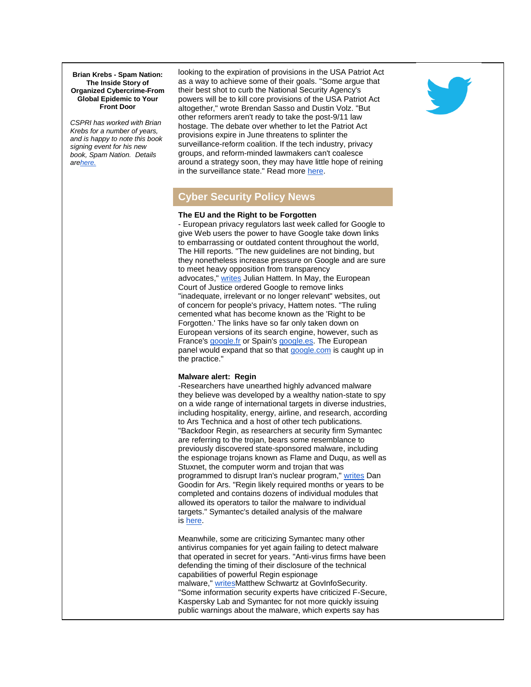**Brian Krebs - Spam Nation: The Inside Story of Organized Cybercrime-From Global Epidemic to Your Front Door**

*CSPRI has worked with Brian Krebs for a number of years, and is happy to note this book signing event for his new book, Spam Nation. Details ar[ehere.](http://r20.rs6.net/tn.jsp?f=001lkXkMIe41HYll7mOJI1UIgT4RialstjcIBFzTLKLMbA1zF3P7Rydsx8txqgEF7fVRDuAUF4aCMo5PSzEeN9msPEwW0CCHgCkilekVkYM6w6WZLWjHbNol2XR3C5TRtgz-fihsL70oPv4d7O-JVVShSASySJTbDQaOkybN4zHTHa7tY5KKZIzt2yKQIX76QGRvCcYNpvaLVHZMgniBXsz-5OulrNArAaaw8GhYuGbU23CgosADFmurev6vxFaThLrO6EOghDF8fy4clyZ8xpB3j0xJly8gEV9h97Cfe4mn1amhY_zWMJEK16ZtKfzFM37&c=ozru1dyMLELyGycXP8bP2JyD-5CP95Z9zf1H_5duATV0CCaku2io9Q==&ch=aY3R2CveLLbOMHWpNPlE2ElWutpGn2tYWh7LkzMlMOz7Kv5atogmWg==)*

looking to the expiration of provisions in the USA Patriot Act as a way to achieve some of their goals. "Some argue that their best shot to curb the National Security Agency's powers will be to kill core provisions of the USA Patriot Act altogether," wrote Brendan Sasso and Dustin Volz. "But other reformers aren't ready to take the post-9/11 law hostage. The debate over whether to let the Patriot Act provisions expire in June threatens to splinter the surveillance-reform coalition. If the tech industry, privacy groups, and reform-minded lawmakers can't coalesce around a strategy soon, they may have little hope of reining in the surveillance state." Read more [here.](http://r20.rs6.net/tn.jsp?f=001lkXkMIe41HYll7mOJI1UIgT4RialstjcIBFzTLKLMbA1zF3P7Rydsx8txqgEF7fVnY4GbAbBKTmbbAa7dngIWx2YS6BeiXhwjCVrencQJZ1ROoBLAaPbH2yDCOHiS0Y-MqPavME1TRtbK3LWimyW5lFpiexfYGNMc49aree5uwbJ0FnHa9gBuLAlr3MijjvqJ49O147MW9CeBXmISSSBO35jQ4B_HE8w8IDu2nAqJPmcEM-MlScg-XYHTPZln3yPDEREEqUzMsfIBZbD5s5iHw==&c=ozru1dyMLELyGycXP8bP2JyD-5CP95Z9zf1H_5duATV0CCaku2io9Q==&ch=aY3R2CveLLbOMHWpNPlE2ElWutpGn2tYWh7LkzMlMOz7Kv5atogmWg==)



# **Cyber Security Policy News**

#### **The EU and the Right to be Forgotten**

- European privacy regulators last week called for Google to give Web users the power to have Google take down links to embarrassing or outdated content throughout the world, The Hill reports. "The new guidelines are not binding, but they nonetheless increase pressure on Google and are sure to meet heavy opposition from transparency advocates," [writes](http://r20.rs6.net/tn.jsp?f=001lkXkMIe41HYll7mOJI1UIgT4RialstjcIBFzTLKLMbA1zF3P7Rydsx8txqgEF7fVUOXH3HypV2QoY5z-YgCQh4BNF8BjYCyAk2-RUsjP-brQr3mxRjNDXlBbmzNIPFbhUy4ao8IfTSZOvG_1WOuZjjVJqMpSX3XanszYwI9IuzhoHFa2Jh_qeKY_tDUvZvW4ibNCYNq2PRCzYWgHXqyxjhjU4sa17VnheGotlNUQoAC4soTB75pkhyJrkbiW8lS2yLlY0NxBjXQ=&c=ozru1dyMLELyGycXP8bP2JyD-5CP95Z9zf1H_5duATV0CCaku2io9Q==&ch=aY3R2CveLLbOMHWpNPlE2ElWutpGn2tYWh7LkzMlMOz7Kv5atogmWg==) Julian Hattem. In May, the European Court of Justice ordered Google to remove links "inadequate, irrelevant or no longer relevant" websites, out of concern for people's privacy, Hattem notes. "The ruling cemented what has become known as the 'Right to be Forgotten.' The links have so far only taken down on European versions of its search engine, however, such as France's [google.fr](http://google.fr/) or Spain's [google.es.](http://google.es/) The European panel would expand that so that [google.com](http://google.com/) is caught up in the practice."

#### **Malware alert: Regin**

-Researchers have unearthed highly advanced malware they believe was developed by a wealthy nation-state to spy on a wide range of international targets in diverse industries, including hospitality, energy, airline, and research, according to Ars Technica and a host of other tech publications. "Backdoor Regin, as researchers at security firm Symantec are referring to the trojan, bears some resemblance to previously discovered state-sponsored malware, including the espionage trojans known as Flame and Duqu, as well as Stuxnet, the computer worm and trojan that was programmed to disrupt Iran's nuclear program," [writes](http://r20.rs6.net/tn.jsp?f=001lkXkMIe41HYll7mOJI1UIgT4RialstjcIBFzTLKLMbA1zF3P7Rydsx8txqgEF7fVLnZ38s1RwMUtY1DnYC_m8eNHfJBw0_cb9-CH8GQoOzLPQQCZnUgIVn2_gKgdMQ6PyqGCxhLYc6xEbkDhfaENYX6QoQxifLmErb57uGxxNjCYPwmEm1vkcrGefMGim7hjF5Go-tafkSvpeZbAWoXHIj74kBeTnZMsVBsvXTz_tLENIn_BiX16nM6yYFHJgf3Rbu2gcBzELtrYCfhgWk1J940CWjKxnEsg_m3kyIFuABM=&c=ozru1dyMLELyGycXP8bP2JyD-5CP95Z9zf1H_5duATV0CCaku2io9Q==&ch=aY3R2CveLLbOMHWpNPlE2ElWutpGn2tYWh7LkzMlMOz7Kv5atogmWg==) Dan Goodin for Ars. "Regin likely required months or years to be completed and contains dozens of individual modules that allowed its operators to tailor the malware to individual targets." Symantec's detailed analysis of the malware is [here.](http://r20.rs6.net/tn.jsp?f=001lkXkMIe41HYll7mOJI1UIgT4RialstjcIBFzTLKLMbA1zF3P7Rydsx8txqgEF7fVh3oMmebWxhiyBzpDsskACvoHF9JOufp9S0otg0lCLuPkjlojYyJDI_jOpFbjqu2L3FU7cjj4b_3YEq15PD6Bar24K-pTGpQfRVuJYXO_wYQkX4cksOlCj3Sk8I5J1ENMHD2d-kk_84nCBMRE10LmMkCAyQoPt4yLF2feomRV3HS8vNBwGdnVjJMPftOqJJ10V1XQL4isp8z-SB3DuPclMg==&c=ozru1dyMLELyGycXP8bP2JyD-5CP95Z9zf1H_5duATV0CCaku2io9Q==&ch=aY3R2CveLLbOMHWpNPlE2ElWutpGn2tYWh7LkzMlMOz7Kv5atogmWg==)

Meanwhile, some are criticizing Symantec many other antivirus companies for yet again failing to detect malware that operated in secret for years. "Anti-virus firms have been defending the timing of their disclosure of the technical capabilities of powerful Regin espionage malware," [writesM](http://r20.rs6.net/tn.jsp?f=001lkXkMIe41HYll7mOJI1UIgT4RialstjcIBFzTLKLMbA1zF3P7Rydsx8txqgEF7fVsg-DBnqvu70eARmLU2fvRhVrtPL3354jbTmffnlbyGDCd54RuxSii7fnXWxnEm6FiQMz3kREYuPbdgIkKGMsvt3AInGC3XakA3JDZIlIJSdRvtnASpUHvfgPtrsb6S4n9uMLOohBJm9oomzLm4SgnivAHtu0XaWN3jAYxPtrdV8=&c=ozru1dyMLELyGycXP8bP2JyD-5CP95Z9zf1H_5duATV0CCaku2io9Q==&ch=aY3R2CveLLbOMHWpNPlE2ElWutpGn2tYWh7LkzMlMOz7Kv5atogmWg==)atthew Schwartz at GovInfoSecurity. "Some information security experts have criticized F-Secure, Kaspersky Lab and Symantec for not more quickly issuing public warnings about the malware, which experts say has